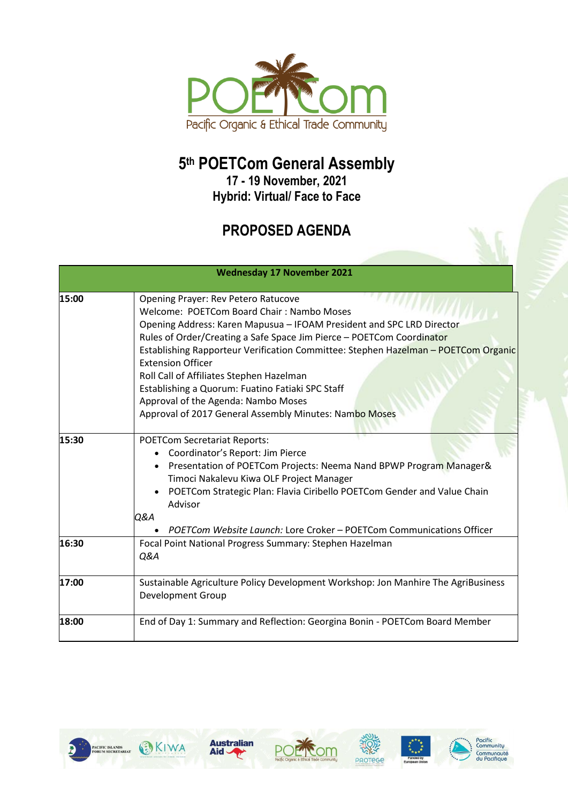

## **5 th POETCom General Assembly**

**17 - 19 November, 2021 Hybrid: Virtual/ Face to Face**

## **PROPOSED AGENDA**

|       | <b>Wednesday 17 November 2021</b>                                                                                                                                                                                                                                                                                                                                                                                                                                                                                                                     |
|-------|-------------------------------------------------------------------------------------------------------------------------------------------------------------------------------------------------------------------------------------------------------------------------------------------------------------------------------------------------------------------------------------------------------------------------------------------------------------------------------------------------------------------------------------------------------|
| 15:00 | Opening Prayer: Rev Petero Ratucove<br>Welcome: POETCom Board Chair: Nambo Moses<br>Opening Address: Karen Mapusua - IFOAM President and SPC LRD Director<br>Rules of Order/Creating a Safe Space Jim Pierce - POETCom Coordinator<br>Establishing Rapporteur Verification Committee: Stephen Hazelman - POETCom Organic<br><b>Extension Officer</b><br>Roll Call of Affiliates Stephen Hazelman<br>Establishing a Quorum: Fuatino Fatiaki SPC Staff<br>Approval of the Agenda: Nambo Moses<br>Approval of 2017 General Assembly Minutes: Nambo Moses |
| 15:30 | <b>POETCom Secretariat Reports:</b><br>Coordinator's Report: Jim Pierce<br>Presentation of POETCom Projects: Neema Nand BPWP Program Manager&<br>Timoci Nakalevu Kiwa OLF Project Manager<br>POETCom Strategic Plan: Flavia Ciribello POETCom Gender and Value Chain<br>Advisor<br>Q&A<br>POETCom Website Launch: Lore Croker - POETCom Communications Officer                                                                                                                                                                                        |
| 16:30 | Focal Point National Progress Summary: Stephen Hazelman<br>Q&A                                                                                                                                                                                                                                                                                                                                                                                                                                                                                        |
| 17:00 | Sustainable Agriculture Policy Development Workshop: Jon Manhire The AgriBusiness<br><b>Development Group</b>                                                                                                                                                                                                                                                                                                                                                                                                                                         |
| 18:00 | End of Day 1: Summary and Reflection: Georgina Bonin - POETCom Board Member                                                                                                                                                                                                                                                                                                                                                                                                                                                                           |











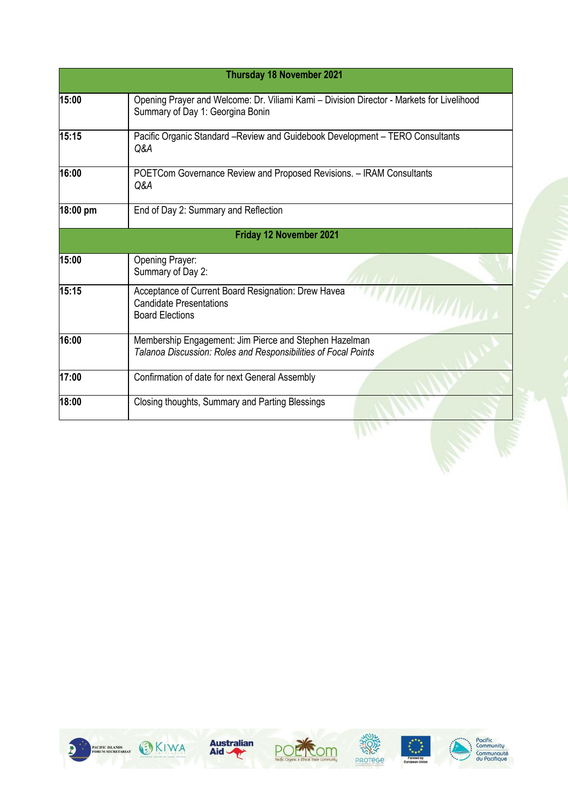|          | <b>Thursday 18 November 2021</b>                                                                                                      |
|----------|---------------------------------------------------------------------------------------------------------------------------------------|
| 15:00    | Opening Prayer and Welcome: Dr. Viliami Kami - Division Director - Markets for Livelihood<br>Summary of Day 1: Georgina Bonin         |
| 15:15    | Pacific Organic Standard -Review and Guidebook Development - TERO Consultants<br>Q&A                                                  |
| 16:00    | POETCom Governance Review and Proposed Revisions. - IRAM Consultants<br>Q&A                                                           |
| 18:00 pm | End of Day 2: Summary and Reflection                                                                                                  |
|          | Friday 12 November 2021                                                                                                               |
| 15:00    | Opening Prayer:<br>Summary of Day 2:                                                                                                  |
| 15:15    | Acceptance of Current Board Resignation: Drew Havea<br><b>WITH YAYIVI</b><br><b>Candidate Presentations</b><br><b>Board Elections</b> |
| 16:00    | Membership Engagement: Jim Pierce and Stephen Hazelman<br>Talanoa Discussion: Roles and Responsibilities of Focal Points              |
| 17:00    | Confirmation of date for next General Assembly                                                                                        |
| 18:00    | Closing thoughts, Summary and Parting Blessings                                                                                       |
|          |                                                                                                                                       |